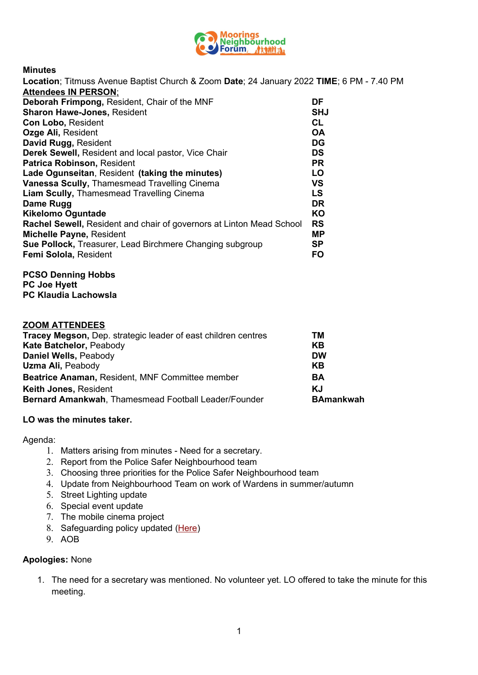

**Minutes**

| Location; Titmuss Avenue Baptist Church & Zoom Date; 24 January 2022 TIME; 6 PM - 7.40 PM |            |
|-------------------------------------------------------------------------------------------|------------|
| <b>Attendees IN PERSON:</b>                                                               |            |
| Deborah Frimpong, Resident, Chair of the MNF                                              | DF         |
| <b>Sharon Hawe-Jones, Resident</b>                                                        | <b>SHJ</b> |
| <b>Con Lobo, Resident</b>                                                                 | <b>CL</b>  |
| Ozge Ali, Resident                                                                        | <b>OA</b>  |
| David Rugg, Resident                                                                      | <b>DG</b>  |
| <b>Derek Sewell, Resident and local pastor, Vice Chair</b>                                | <b>DS</b>  |
| Patrica Robinson, Resident                                                                | <b>PR</b>  |
| Lade Ogunseitan, Resident (taking the minutes)                                            | LO         |
| Vanessa Scully, Thamesmead Travelling Cinema                                              | VS         |
| <b>Liam Scully, Thamesmead Travelling Cinema</b>                                          | LS         |
| Dame Rugg                                                                                 | <b>DR</b>  |
| <b>Kikelomo Oguntade</b>                                                                  | KO         |
| Rachel Sewell, Resident and chair of governors at Linton Mead School                      | <b>RS</b>  |
| Michalla Payna, Resident                                                                  | MP         |

| <b>Michelle Payne, Resident</b>                          | MР        |
|----------------------------------------------------------|-----------|
| Sue Pollock, Treasurer, Lead Birchmere Changing subgroup | <b>SP</b> |
| Femi Solola, Resident                                    | FO.       |

#### **PCSO Denning Hobbs PC Joe Hyett PC Klaudia Lachowsla**

#### **ZOOM ATTENDEES**

| <b>Tracey Megson, Dep. strategic leader of east children centres</b> | тм               |
|----------------------------------------------------------------------|------------------|
| Kate Batchelor, Peabody                                              | KB               |
| Daniel Wells, Peabody                                                | <b>DW</b>        |
| Uzma Ali, Peabody                                                    | KB               |
| Beatrice Anaman, Resident, MNF Committee member                      | BA               |
| <b>Keith Jones, Resident</b>                                         | KJ               |
| Bernard Amankwah, Thamesmead Football Leader/Founder                 | <b>BAmankwah</b> |

#### **LO was the minutes taker.**

Agenda:

- 1. Matters arising from minutes Need for a secretary.
- 2. Report from the Police Safer Neighbourhood team
- 3. Choosing three priorities for the Police Safer Neighbourhood team
- 4. Update from Neighbourhood Team on work of Wardens in summer/autumn
- 5. Street Lighting update
- 6. Special event update
- 7. The mobile cinema project
- 8. Safeguarding policy updated ([Here\)](https://mooringsnf.us4.list-manage.com/track/click?u=2c6e391dfc553b8e2a313d224&id=1a1bd0fe40&e=90baf7cbad)
- 9. AOB

#### **Apologies:** None

1. The need for a secretary was mentioned. No volunteer yet. LO offered to take the minute for this meeting.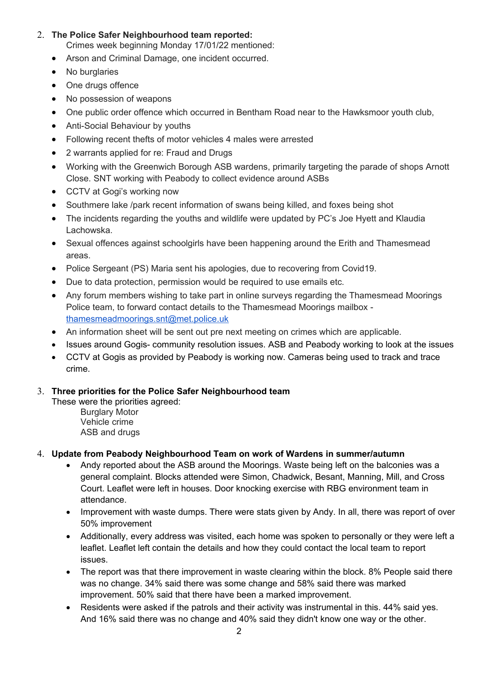# 2. **The Police Safer Neighbourhood team reported:**

Crimes week beginning Monday 17/01/22 mentioned:

- Arson and Criminal Damage, one incident occurred.
- No burglaries
- One drugs offence
- No possession of weapons
- One public order offence which occurred in Bentham Road near to the Hawksmoor youth club,
- Anti-Social Behaviour by youths
- Following recent thefts of motor vehicles 4 males were arrested
- 2 warrants applied for re: Fraud and Drugs
- Working with the Greenwich Borough ASB wardens, primarily targeting the parade of shops Arnott Close. SNT working with Peabody to collect evidence around ASBs
- CCTV at Gogi's working now
- Southmere lake /park recent information of swans being killed, and foxes being shot
- The incidents regarding the youths and wildlife were updated by PC's Joe Hyett and Klaudia Lachowska.
- Sexual offences against schoolgirls have been happening around the Erith and Thamesmead areas.
- Police Sergeant (PS) Maria sent his apologies, due to recovering from Covid19.
- Due to data protection, permission would be required to use emails etc.
- Any forum members wishing to take part in online surveys regarding the Thamesmead Moorings Police team, to forward contact details to the Thamesmead Moorings mailbox [thamesmeadmoorings.snt@met.police.uk](mailto:thamesmeadmoorings.snt@met.police.uk)
- An information sheet will be sent out pre next meeting on crimes which are applicable.
- Issues around Gogis- community resolution issues. ASB and Peabody working to look at the issues
- CCTV at Gogis as provided by Peabody is working now. Cameras being used to track and trace crime.

# 3. **Three priorities for the Police Safer Neighbourhood team**

These were the priorities agreed:

Burglary Motor Vehicle crime ASB and drugs

# 4. **Update from Peabody Neighbourhood Team on work of Wardens in summer/autumn**

- Andy reported about the ASB around the Moorings. Waste being left on the balconies was a general complaint. Blocks attended were Simon, Chadwick, Besant, Manning, Mill, and Cross Court. Leaflet were left in houses. Door knocking exercise with RBG environment team in attendance.
- Improvement with waste dumps. There were stats given by Andy. In all, there was report of over 50% improvement
- Additionally, every address was visited, each home was spoken to personally or they were left a leaflet. Leaflet left contain the details and how they could contact the local team to report issues.
- The report was that there improvement in waste clearing within the block. 8% People said there was no change. 34% said there was some change and 58% said there was marked improvement. 50% said that there have been a marked improvement.
- Residents were asked if the patrols and their activity was instrumental in this. 44% said yes. And 16% said there was no change and 40% said they didn't know one way or the other.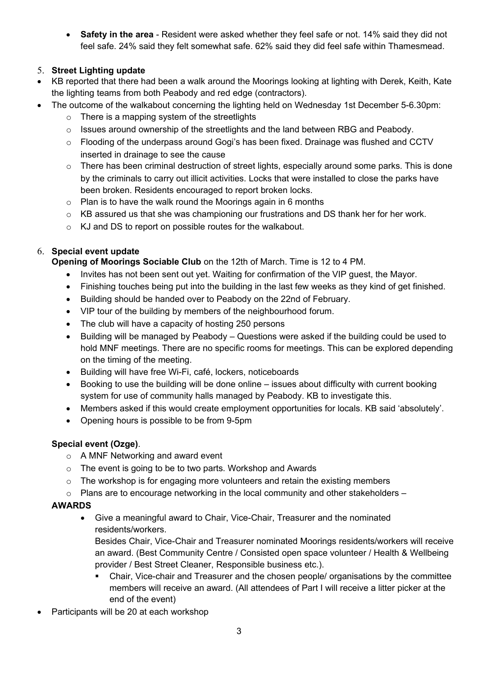**Safety in the area** - Resident were asked whether they feel safe or not. 14% said they did not feel safe. 24% said they felt somewhat safe. 62% said they did feel safe within Thamesmead.

# 5. **Street Lighting update**

- KB reported that there had been a walk around the Moorings looking at lighting with Derek, Keith, Kate the lighting teams from both Peabody and red edge (contractors).
- The outcome of the walkabout concerning the lighting held on Wednesday 1st December 5-6.30pm:
	- $\circ$  There is a mapping system of the streetlights
	- $\circ$  Issues around ownership of the streetlights and the land between RBG and Peabody.
	- $\circ$  Flooding of the underpass around Gogi's has been fixed. Drainage was flushed and CCTV inserted in drainage to see the cause
	- $\circ$  There has been criminal destruction of street lights, especially around some parks. This is done by the criminals to carry out illicit activities. Locks that were installed to close the parks have been broken. Residents encouraged to report broken locks.
	- o Plan is to have the walk round the Moorings again in 6 months
	- o KB assured us that she was championing our frustrations and DS thank her for her work.
	- o KJ and DS to report on possible routes for the walkabout.

# 6. **Special event update**

**Opening of Moorings Sociable Club** on the 12th of March. Time is 12 to 4 PM.

- Invites has not been sent out yet. Waiting for confirmation of the VIP guest, the Mayor.
- Finishing touches being put into the building in the last few weeks as they kind of get finished.
- Building should be handed over to Peabody on the 22nd of February.
- VIP tour of the building by members of the neighbourhood forum.
- The club will have a capacity of hosting 250 persons
- Building will be managed by Peabody Questions were asked if the building could be used to hold MNF meetings. There are no specific rooms for meetings. This can be explored depending on the timing of the meeting.
- Building will have free Wi-Fi, café, lockers, noticeboards
- Booking to use the building will be done online issues about difficulty with current booking system for use of community halls managed by Peabody. KB to investigate this.
- Members asked if this would create employment opportunities for locals. KB said 'absolutely'.
- Opening hours is possible to be from 9-5pm

# **Special event (Ozge)**.

- o A MNF Networking and award event
- o The event is going to be to two parts. Workshop and Awards
- $\circ$  The workshop is for engaging more volunteers and retain the existing members
- o Plans are to encourage networking in the local community and other stakeholders –

# **AWARDS**

 Give a meaningful award to Chair, Vice-Chair, Treasurer and the nominated residents/workers.

Besides Chair, Vice-Chair and Treasurer nominated Moorings residents/workers will receive an award. (Best Community Centre / Consisted open space volunteer / Health & Wellbeing provider / Best Street Cleaner, Responsible business etc.).

- Chair, Vice-chair and Treasurer and the chosen people/ organisations by the committee members will receive an award. (All attendees of Part I will receive a litter picker at the end of the event)
- Participants will be 20 at each workshop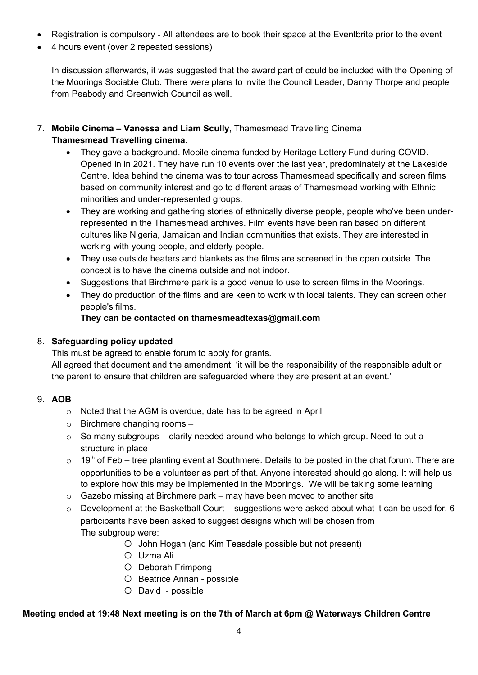- Registration is compulsory All attendees are to book their space at the Eventbrite prior to the event
- 4 hours event (over 2 repeated sessions)

In discussion afterwards, it was suggested that the award part of could be included with the Opening of the Moorings Sociable Club. There were plans to invite the Council Leader, Danny Thorpe and people from Peabody and Greenwich Council as well.

- 7. **Mobile Cinema Vanessa and Liam Scully,** Thamesmead Travelling Cinema **Thamesmead Travelling cinema**.
	- They gave a background. Mobile cinema funded by Heritage Lottery Fund during COVID. Opened in in 2021. They have run 10 events over the last year, predominately at the Lakeside Centre. Idea behind the cinema was to tour across Thamesmead specifically and screen films based on community interest and go to different areas of Thamesmead working with Ethnic minorities and under-represented groups.
	- They are working and gathering stories of ethnically diverse people, people who've been underrepresented in the Thamesmead archives. Film events have been ran based on different cultures like Nigeria, Jamaican and Indian communities that exists. They are interested in working with young people, and elderly people.
	- They use outside heaters and blankets as the films are screened in the open outside. The concept is to have the cinema outside and not indoor.
	- Suggestions that Birchmere park is a good venue to use to screen films in the Moorings.
	- They do production of the films and are keen to work with local talents. They can screen other people's films.

# **They can be contacted on thamesmeadtexas@gmail.com**

# 8. **Safeguarding policy updated**

This must be agreed to enable forum to apply for grants.

All agreed that document and the amendment, 'it will be the responsibility of the responsible adult or the parent to ensure that children are safeguarded where they are present at an event.'

# 9. **AOB**

- o Noted that the AGM is overdue, date has to be agreed in April
- o Birchmere changing rooms –
- $\circ$  So many subgroups clarity needed around who belongs to which group. Need to put a structure in place
- $\circ$  19<sup>th</sup> of Feb tree planting event at Southmere. Details to be posted in the chat forum. There are opportunities to be a volunteer as part of that. Anyone interested should go along. It will help us to explore how this may be implemented in the Moorings. We will be taking some learning
- $\circ$  Gazebo missing at Birchmere park may have been moved to another site
- o Development at the Basketball Court suggestions were asked about what it can be used for. 6 participants have been asked to suggest designs which will be chosen from The subgroup were:
	- O John Hogan (and Kim Teasdale possible but not present)
	- Uzma Ali
	- O Deborah Frimpong
	- O Beatrice Annan possible
	- O David possible

# **Meeting ended at 19:48 Next meeting is on the 7th of March at 6pm @ Waterways Children Centre**